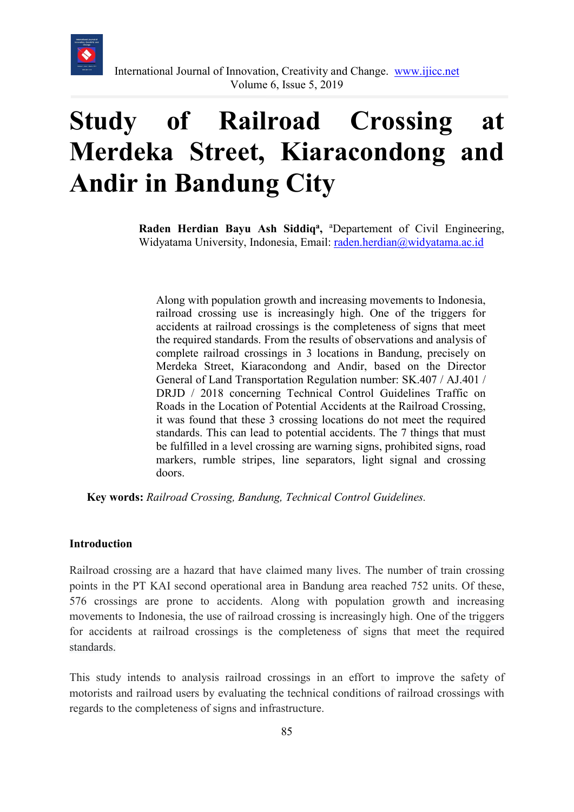

# **Study of Railroad Crossing at Merdeka Street, Kiaracondong and Andir in Bandung City**

Raden Herdian Bayu Ash Siddiq<sup>a</sup>, <sup>a</sup>Departement of Civil Engineering, Widyatama University, Indonesia, Email: [raden.herdian@widyatama.ac.id](mailto:raden.herdian@widyatama.ac.id)

Along with population growth and increasing movements to Indonesia, railroad crossing use is increasingly high. One of the triggers for accidents at railroad crossings is the completeness of signs that meet the required standards. From the results of observations and analysis of complete railroad crossings in 3 locations in Bandung, precisely on Merdeka Street, Kiaracondong and Andir, based on the Director General of Land Transportation Regulation number: SK.407 / AJ.401 / DRJD / 2018 concerning Technical Control Guidelines Traffic on Roads in the Location of Potential Accidents at the Railroad Crossing, it was found that these 3 crossing locations do not meet the required standards. This can lead to potential accidents. The 7 things that must be fulfilled in a level crossing are warning signs, prohibited signs, road markers, rumble stripes, line separators, light signal and crossing doors.

**Key words:** *Railroad Crossing, Bandung, Technical Control Guidelines.*

#### **Introduction**

Railroad crossing are a hazard that have claimed many lives. The number of train crossing points in the PT KAI second operational area in Bandung area reached 752 units. Of these, 576 crossings are prone to accidents. Along with population growth and increasing movements to Indonesia, the use of railroad crossing is increasingly high. One of the triggers for accidents at railroad crossings is the completeness of signs that meet the required standards.

This study intends to analysis railroad crossings in an effort to improve the safety of motorists and railroad users by evaluating the technical conditions of railroad crossings with regards to the completeness of signs and infrastructure.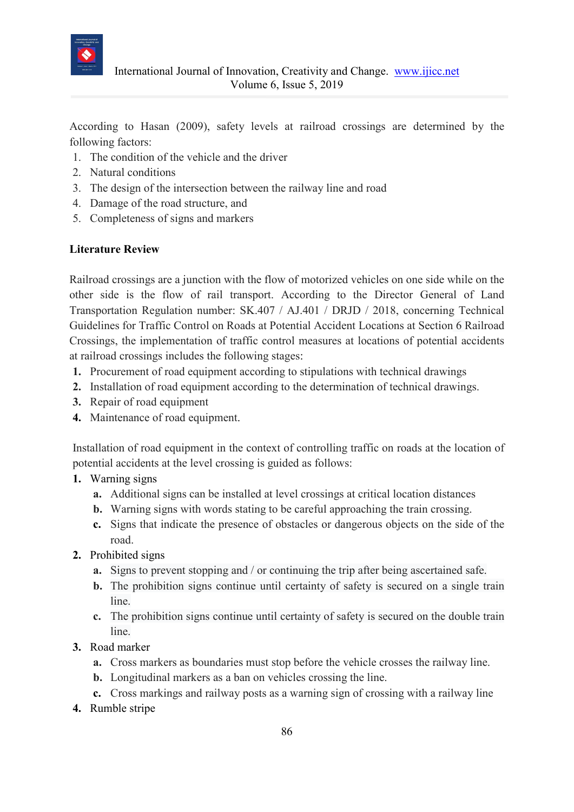

According to Hasan (2009), safety levels at railroad crossings are determined by the following factors:

- 1. The condition of the vehicle and the driver
- 2. Natural conditions
- 3. The design of the intersection between the railway line and road
- 4. Damage of the road structure, and
- 5. Completeness of signs and markers

## **Literature Review**

Railroad crossings are a junction with the flow of motorized vehicles on one side while on the other side is the flow of rail transport. According to the Director General of Land Transportation Regulation number: SK.407 / AJ.401 / DRJD / 2018, concerning Technical Guidelines for Traffic Control on Roads at Potential Accident Locations at Section 6 Railroad Crossings, the implementation of traffic control measures at locations of potential accidents at railroad crossings includes the following stages:

- **1.** Procurement of road equipment according to stipulations with technical drawings
- **2.** Installation of road equipment according to the determination of technical drawings.
- **3.** Repair of road equipment
- **4.** Maintenance of road equipment.

Installation of road equipment in the context of controlling traffic on roads at the location of potential accidents at the level crossing is guided as follows:

- **1.** Warning signs
	- **a.** Additional signs can be installed at level crossings at critical location distances
	- **b.** Warning signs with words stating to be careful approaching the train crossing.
	- **c.** Signs that indicate the presence of obstacles or dangerous objects on the side of the road.
- **2.** Prohibited signs
	- **a.** Signs to prevent stopping and / or continuing the trip after being ascertained safe.
	- **b.** The prohibition signs continue until certainty of safety is secured on a single train line.
	- **c.** The prohibition signs continue until certainty of safety is secured on the double train line.
- **3.** Road marker
	- **a.** Cross markers as boundaries must stop before the vehicle crosses the railway line.
	- **b.** Longitudinal markers as a ban on vehicles crossing the line.
	- **c.** Cross markings and railway posts as a warning sign of crossing with a railway line
- **4.** Rumble stripe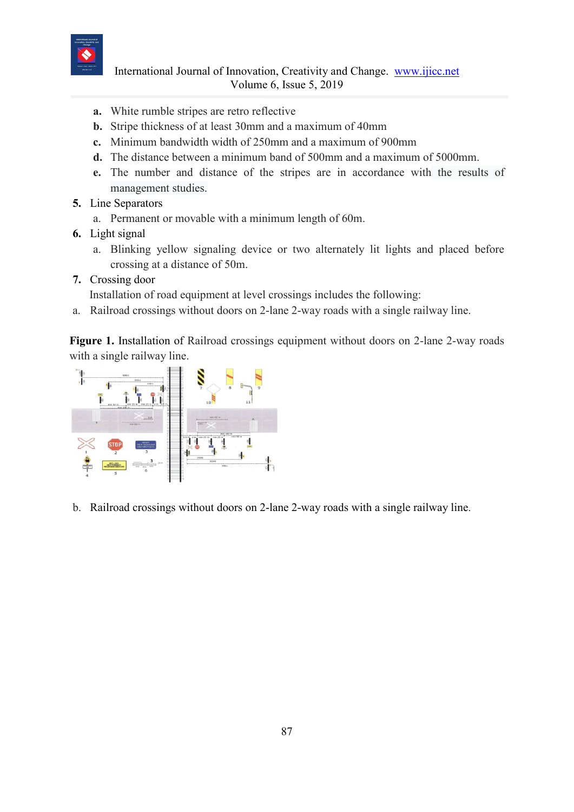

 International Journal of Innovation, Creativity and Change. [www.ijicc.net](http://www.ijicc.net/) Volume 6, Issue 5, 2019

- **a.** White rumble stripes are retro reflective
- **b.** Stripe thickness of at least 30mm and a maximum of 40mm
- **c.** Minimum bandwidth width of 250mm and a maximum of 900mm
- **d.** The distance between a minimum band of 500mm and a maximum of 5000mm.
- **e.** The number and distance of the stripes are in accordance with the results of management studies.
- **5.** Line Separators
	- a. Permanent or movable with a minimum length of 60m.
- **6.** Light signal
	- a. Blinking yellow signaling device or two alternately lit lights and placed before crossing at a distance of 50m.
- **7.** Crossing door

Installation of road equipment at level crossings includes the following:

a. Railroad crossings without doors on 2-lane 2-way roads with a single railway line.

**Figure 1.** Installation of Railroad crossings equipment without doors on 2-lane 2-way roads with a single railway line.



b. Railroad crossings without doors on 2-lane 2-way roads with a single railway line.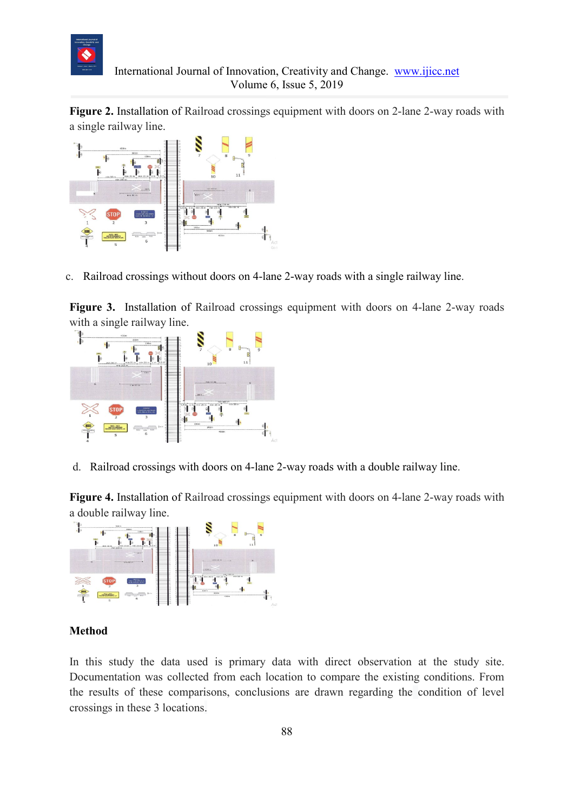

**Figure 2.** Installation of Railroad crossings equipment with doors on 2-lane 2-way roads with a single railway line.



c. Railroad crossings without doors on 4-lane 2-way roads with a single railway line.

**Figure 3.** Installation of Railroad crossings equipment with doors on 4-lane 2-way roads with a single railway line.



d. Railroad crossings with doors on 4-lane 2-way roads with a double railway line.

**Figure 4.** Installation of Railroad crossings equipment with doors on 4-lane 2-way roads with a double railway line.



### **Method**

In this study the data used is primary data with direct observation at the study site. Documentation was collected from each location to compare the existing conditions. From the results of these comparisons, conclusions are drawn regarding the condition of level crossings in these 3 locations.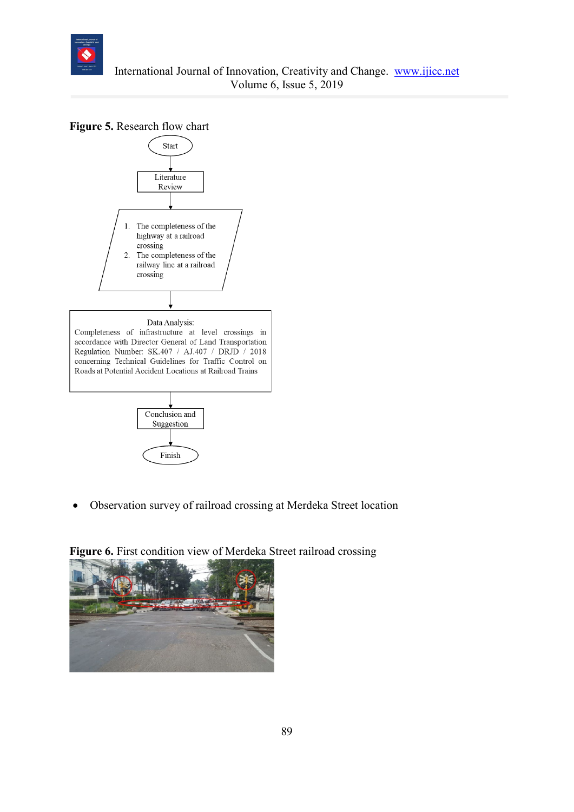

**Figure 5.** Research flow chart



• Observation survey of railroad crossing at Merdeka Street location



**Figure 6.** First condition view of Merdeka Street railroad crossing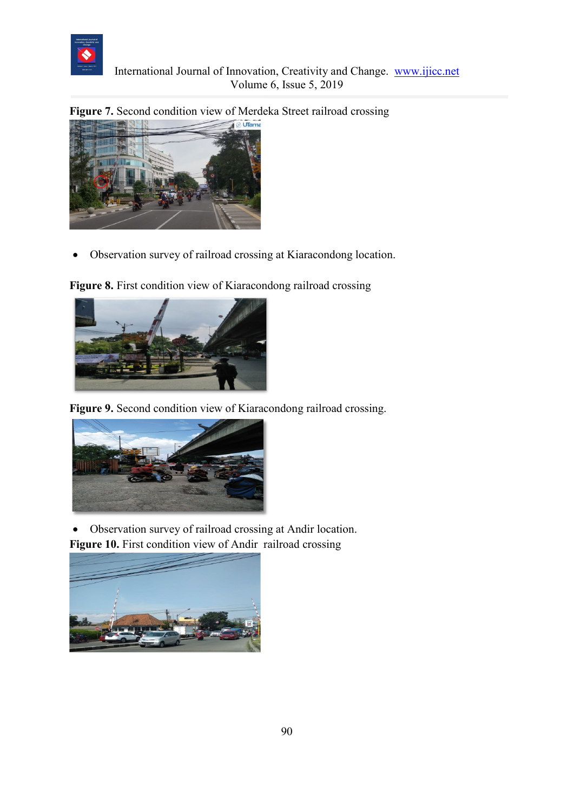

**Figure 7.** Second condition view of Merdeka Street railroad crossing



• Observation survey of railroad crossing at Kiaracondong location.

**Figure 8.** First condition view of Kiaracondong railroad crossing



**Figure 9.** Second condition view of Kiaracondong railroad crossing.



• Observation survey of railroad crossing at Andir location.



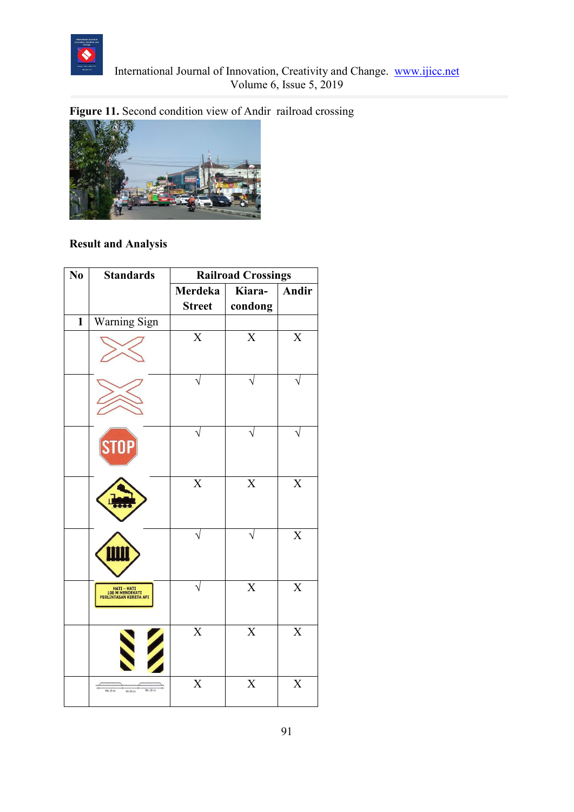

# **Figure 11.** Second condition view of Andir railroad crossing



# **Result and Analysis**

| N <sub>0</sub> | <b>Standards</b>                                         | <b>Railroad Crossings</b> |                         |                           |
|----------------|----------------------------------------------------------|---------------------------|-------------------------|---------------------------|
|                |                                                          | Merdeka                   | Kiara-                  | <b>Andir</b>              |
|                |                                                          | <b>Street</b>             | condong                 |                           |
| $\mathbf{1}$   | Warning Sign                                             |                           |                         |                           |
|                |                                                          | $\boldsymbol{\mathrm{X}}$ | $\overline{X}$          | $\boldsymbol{\mathrm{X}}$ |
|                |                                                          |                           |                         |                           |
|                | <b>STOP</b>                                              |                           |                         |                           |
|                |                                                          | $\overline{\text{X}}$     | $\overline{\mathbf{X}}$ | $\overline{X}$            |
|                |                                                          |                           |                         | $\overline{\mathbf{X}}$   |
|                | HATI – HATI<br>100 M MENDEKATI<br>PERLINTASAN KERETA API |                           | $\mathbf X$             | $\boldsymbol{X}$          |
|                |                                                          | $\overline{\text{X}}$     | $\overline{\text{X}}$   | $\overline{X}$            |
|                | Min. 25 cm<br>Min 25 cm<br>Min 50 cm                     | $\boldsymbol{\mathrm{X}}$ | $\overline{X}$          | $\overline{X}$            |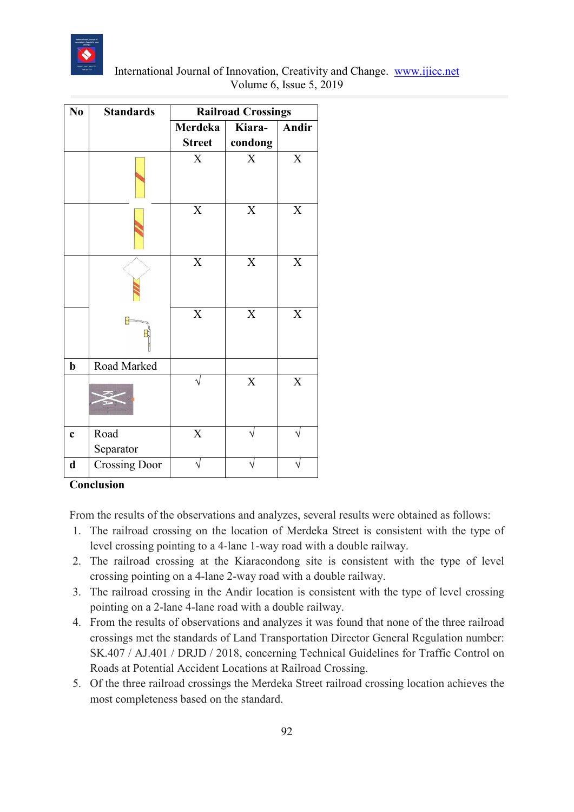

| International Journal of Innovation, Creativity and Change. www.ijicc.net |  |
|---------------------------------------------------------------------------|--|
| Volume 6, Issue $5, 2019$                                                 |  |

| N <sub>0</sub> | <b>Standards</b>     | <b>Railroad Crossings</b> |             |                           |
|----------------|----------------------|---------------------------|-------------|---------------------------|
|                |                      | Merdeka                   | Kiara-      | Andir                     |
|                |                      | <b>Street</b>             | condong     |                           |
|                |                      | X                         | $\rm X$     | $\boldsymbol{\mathrm{X}}$ |
|                |                      | $\mathbf X$               | $\mathbf X$ | $\mathbf X$               |
|                |                      | $\mathbf X$               | $\mathbf X$ | $\mathbf X$               |
|                | 8                    | $\mathbf X$               | $\mathbf X$ | $\mathbf X$               |
| $\mathbf b$    | Road Marked          |                           |             |                           |
|                |                      |                           | $\mathbf X$ | $\mathbf X$               |
| $\mathbf c$    | Road<br>Separator    | $\mathbf X$               |             |                           |
| $\mathbf d$    | <b>Crossing Door</b> |                           |             |                           |

## **Conclusion**

From the results of the observations and analyzes, several results were obtained as follows:

- 1. The railroad crossing on the location of Merdeka Street is consistent with the type of level crossing pointing to a 4-lane 1-way road with a double railway.
- 2. The railroad crossing at the Kiaracondong site is consistent with the type of level crossing pointing on a 4-lane 2-way road with a double railway.
- 3. The railroad crossing in the Andir location is consistent with the type of level crossing pointing on a 2-lane 4-lane road with a double railway.
- 4. From the results of observations and analyzes it was found that none of the three railroad crossings met the standards of Land Transportation Director General Regulation number: SK.407 / AJ.401 / DRJD / 2018, concerning Technical Guidelines for Traffic Control on Roads at Potential Accident Locations at Railroad Crossing.
- 5. Of the three railroad crossings the Merdeka Street railroad crossing location achieves the most completeness based on the standard.